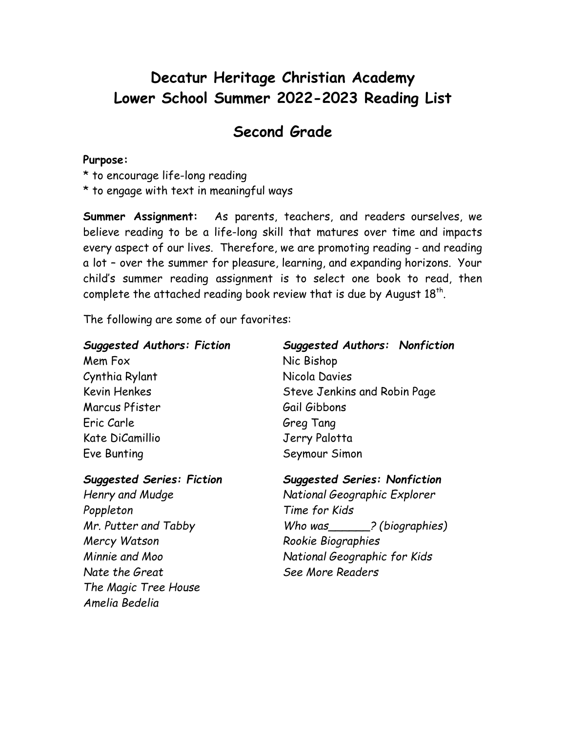# **Decatur Heritage Christian Academy Lower School Summer 2022-2023 Reading List**

## **Second Grade**

#### **Purpose:**

- \* to encourage life-long reading
- \* to engage with text in meaningful ways

**Summer Assignment:** As parents, teachers, and readers ourselves, we believe reading to be a life-long skill that matures over time and impacts every aspect of our lives. Therefore, we are promoting reading - and reading a lot – over the summer for pleasure, learning, and expanding horizons. Your child's summer reading assignment is to select one book to read, then complete the attached reading book review that is due by August  $18<sup>th</sup>$ .

The following are some of our favorites:

| <b>Suggested Authors: Fiction</b> | Suggested Authors: Nonfiction |  |
|-----------------------------------|-------------------------------|--|
| Mem Fox                           | Nic Bishop                    |  |
| Cynthia Rylant                    | Nicola Davies                 |  |
| <b>Kevin Henkes</b>               | Steve Jenkins and Robin Page  |  |
| Marcus Pfister                    | Gail Gibbons                  |  |
| Eric Carle                        | Greg Tang                     |  |
| Kate DiCamillio                   | Jerry Palotta                 |  |
| Eve Bunting                       | Seymour Simon                 |  |

*Poppleton Time for Kids Mercy Watson Rookie Biographies Nate the Great See More Readers The Magic Tree House Amelia Bedelia*

### *Suggested Series: Fiction Suggested Series: Nonfiction*

*Henry and Mudge National Geographic Explorer Mr. Putter and Tabby Who was\_\_\_\_\_\_? (biographies) Minnie and Moo National Geographic for Kids*